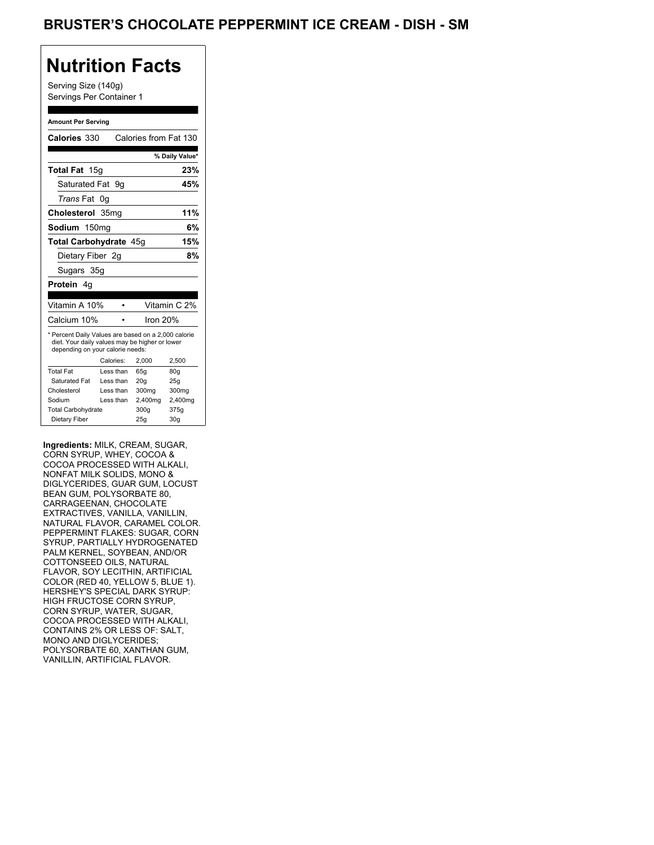### BRUSTER'S CHOCOLATE PEPPERMINT ICE CREAM - DISH - SM

### **Nutrition Facts**

Serving Size (140g) Servings Per Container 1

#### **Amount Per Serving**

| Calories 330                                                                                                                              |                  |           | Calories from Fat 130 |                 |
|-------------------------------------------------------------------------------------------------------------------------------------------|------------------|-----------|-----------------------|-----------------|
|                                                                                                                                           |                  |           |                       | % Daily Value*  |
| Total Fat 15g                                                                                                                             |                  |           |                       | 23%             |
| Saturated Fat                                                                                                                             |                  | . 9a      |                       | 45%             |
| <i>Trans</i> Fat                                                                                                                          | 0g               |           |                       |                 |
| Cholesterol                                                                                                                               | 35 <sub>mg</sub> |           |                       | 11%             |
| Sodium 150mg                                                                                                                              |                  |           |                       | 6%              |
| Total Carbohydrate 45q                                                                                                                    |                  |           |                       | 15%             |
| Dietary Fiber 2q                                                                                                                          |                  |           |                       | 8%              |
| Sugars 35g                                                                                                                                |                  |           |                       |                 |
| <b>Protein</b> 4q                                                                                                                         |                  |           |                       |                 |
|                                                                                                                                           |                  |           |                       |                 |
| Vitamin A 10%                                                                                                                             |                  |           |                       | Vitamin C 2%    |
| Calcium 10%                                                                                                                               |                  |           | Iron $20%$            |                 |
| * Percent Daily Values are based on a 2,000 calorie<br>diet. Your daily values may be higher or lower<br>depending on your calorie needs: |                  |           |                       |                 |
|                                                                                                                                           |                  | Calories: | 2.000                 | 2,500           |
| <b>Total Fat</b>                                                                                                                          |                  | Less than | 65q                   | 80q             |
| Saturated Fat                                                                                                                             |                  | Less than | 20q                   | 25q             |
| Cholesterol                                                                                                                               |                  | Less than | 300mg                 | 300mg           |
| Sodium                                                                                                                                    |                  | Less than | 2,400mg               | 2,400mg         |
| <b>Total Carbohydrate</b>                                                                                                                 |                  |           | 300g                  | 375g            |
| Dietary Fiber                                                                                                                             |                  |           | 25q                   | 30 <sub>g</sub> |

**Ingredients:** MILK, CREAM, SUGAR, CORN SYRUP, WHEY, COCOA & COCOA PROCESSED WITH ALKALI, NONFAT MILK SOLIDS, MONO & DIGLYCERIDES, GUAR GUM, LOCUST BEAN GUM, POLYSORBATE 80, CARRAGEENAN, CHOCOLATE EXTRACTIVES, VANILLA, VANILLIN, NATURAL FLAVOR, CARAMEL COLOR. PEPPERMINT FLAKES: SUGAR, CORN SYRUP, PARTIALLY HYDROGENATED PALM KERNEL, SOYBEAN, AND/OR COTTONSEED OILS, NATURAL FLAVOR, SOY LECITHIN, ARTIFICIAL COLOR (RED 40, YELLOW 5, BLUE 1). HERSHEY'S SPECIAL DARK SYRUP: HIGH FRUCTOSE CORN SYRUP, CORN SYRUP, WATER, SUGAR, COCOA PROCESSED WITH ALKALI, CONTAINS 2% OR LESS OF: SALT, MONO AND DIGLYCERIDES; POLYSORBATE 60, XANTHAN GUM, VANILLIN, ARTIFICIAL FLAVOR.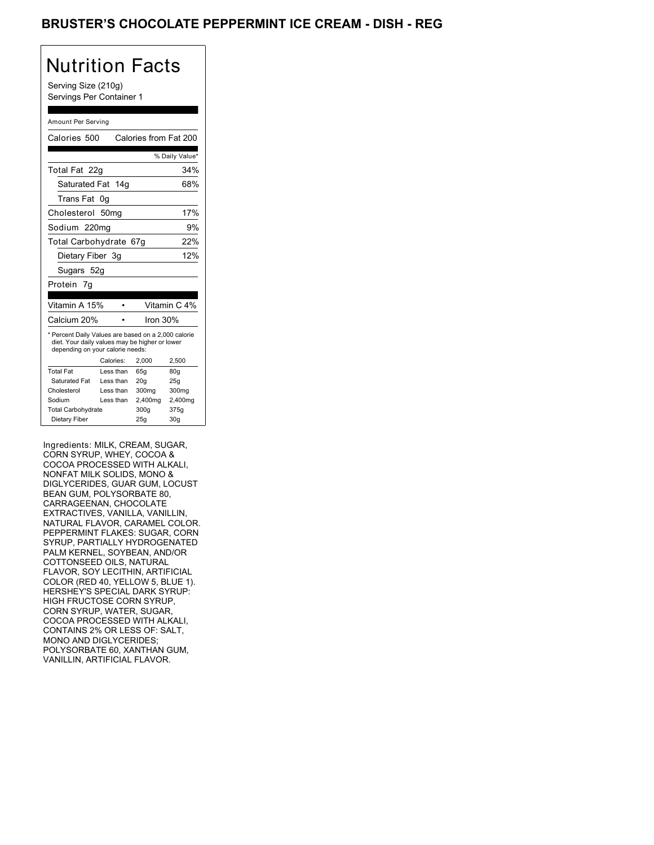### BRUSTER'S CHOCOLATE PEPPERMINT ICE CREAM - DISH - REG

# Nutrition Facts

Serving Size (210g) Servings Per Container 1

#### Amount Per Serving

| Calories 500                                                                                                                              |                  |           | Calories from Fat 200 |                |
|-------------------------------------------------------------------------------------------------------------------------------------------|------------------|-----------|-----------------------|----------------|
|                                                                                                                                           |                  |           |                       | % Daily Value* |
| Total Fat 22g                                                                                                                             |                  |           |                       | 34%            |
| Saturated Fat 14g                                                                                                                         |                  |           |                       | 68%            |
| Trans Fat                                                                                                                                 | 0g               |           |                       |                |
| Cholesterol                                                                                                                               | 50 <sub>mq</sub> |           |                       | 17%            |
| Sodium 220mg                                                                                                                              |                  |           |                       | 9%             |
| Total Carbohydrate 67g                                                                                                                    |                  |           |                       | 22%            |
| Dietary Fiber 3g                                                                                                                          |                  |           |                       | 12%            |
| Sugars 52g                                                                                                                                |                  |           |                       |                |
| Protein 7q                                                                                                                                |                  |           |                       |                |
|                                                                                                                                           |                  |           |                       |                |
| Vitamin A 15%                                                                                                                             |                  |           |                       | Vitamin C 4%   |
| Calcium 20%                                                                                                                               |                  |           | lron 30%              |                |
| * Percent Daily Values are based on a 2,000 calorie<br>diet. Your daily values may be higher or lower<br>depending on your calorie needs: |                  |           |                       |                |
|                                                                                                                                           | Calories:        |           | 2.000                 | 2,500          |
| <b>Total Fat</b>                                                                                                                          |                  | Less than | 65q                   | 80q            |
| Saturated Fat                                                                                                                             |                  | Less than | 20q                   | 25q            |
| Cholesterol                                                                                                                               |                  | Less than | 300mg                 | 300mg          |
| Sodium                                                                                                                                    |                  | Less than | 2,400mg               | 2,400mg        |
| <b>Total Carbohydrate</b>                                                                                                                 |                  |           | 300g                  | 375g           |
| Dietary Fiber                                                                                                                             |                  |           | 25q                   | 30q            |

Ingredients: MILK, CREAM, SUGAR, CORN SYRUP, WHEY, COCOA & COCOA PROCESSED WITH ALKALI, NONFAT MILK SOLIDS, MONO & DIGLYCERIDES, GUAR GUM, LOCUST BEAN GUM, POLYSORBATE 80, CARRAGEENAN, CHOCOLATE EXTRACTIVES, VANILLA, VANILLIN, NATURAL FLAVOR, CARAMEL COLOR. PEPPERMINT FLAKES: SUGAR, CORN SYRUP, PARTIALLY HYDROGENATED PALM KERNEL, SOYBEAN, AND/OR COTTONSEED OILS, NATURAL FLAVOR, SOY LECITHIN, ARTIFICIAL COLOR (RED 40, YELLOW 5, BLUE 1). HERSHEY'S SPECIAL DARK SYRUP: HIGH FRUCTOSE CORN SYRUP, CORN SYRUP, WATER, SUGAR, COCOA PROCESSED WITH ALKALI, CONTAINS 2% OR LESS OF: SALT, MONO AND DIGLYCERIDES; POLYSORBATE 60, XANTHAN GUM, VANILLIN, ARTIFICIAL FLAVOR.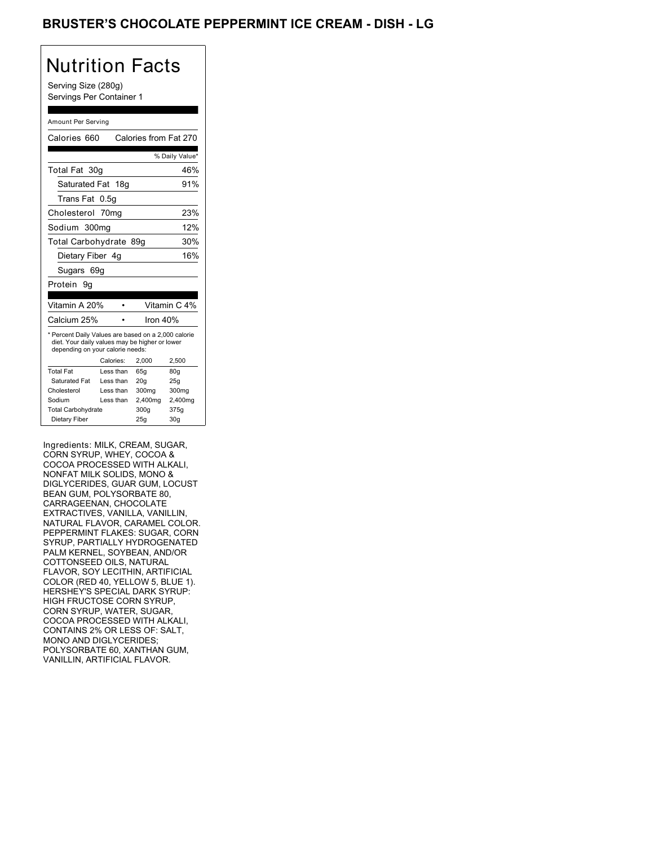### BRUSTER'S CHOCOLATE PEPPERMINT ICE CREAM - DISH - LG

# Nutrition Facts

Serving Size (280g) Servings Per Container 1

#### Amount Per Serving

| Calories 660                                                                                                                              |           | Calories from Fat 270 |                 |  |
|-------------------------------------------------------------------------------------------------------------------------------------------|-----------|-----------------------|-----------------|--|
|                                                                                                                                           |           |                       | % Daily Value*  |  |
| Total Fat 30g                                                                                                                             |           |                       | 46%             |  |
| Saturated Fat 18ɑ                                                                                                                         |           |                       | 91%             |  |
| Trans Fat                                                                                                                                 | 0.5g      |                       |                 |  |
| Cholesterol 70mg                                                                                                                          |           |                       | 23%             |  |
| Sodium 300mg                                                                                                                              |           |                       | 12%             |  |
| Total Carbohydrate 89g                                                                                                                    |           |                       | 30%             |  |
| Dietary Fiber 4g                                                                                                                          |           |                       | 16%             |  |
| Sugars 69g                                                                                                                                |           |                       |                 |  |
| Protein<br>9g                                                                                                                             |           |                       |                 |  |
|                                                                                                                                           |           |                       |                 |  |
| Vitamin A 20%                                                                                                                             |           |                       | Vitamin C 4%    |  |
| Calcium 25%                                                                                                                               |           | Iron $40%$            |                 |  |
| * Percent Daily Values are based on a 2,000 calorie<br>diet. Your daily values may be higher or lower<br>depending on your calorie needs: |           |                       |                 |  |
|                                                                                                                                           | Calories: | 2.000                 | 2,500           |  |
| <b>Total Fat</b>                                                                                                                          | Less than | 65q                   | 80q             |  |
| Saturated Fat                                                                                                                             | Less than | 20q                   | 25q             |  |
| Cholesterol                                                                                                                               | Less than | 300mg                 | 300mg           |  |
| Sodium                                                                                                                                    | Less than | 2,400mg               | 2,400mg         |  |
| <b>Total Carbohydrate</b>                                                                                                                 |           | 300q                  | 375g            |  |
| Dietary Fiber                                                                                                                             |           | 25q                   | 30 <sub>q</sub> |  |

Ingredients: MILK, CREAM, SUGAR, CORN SYRUP, WHEY, COCOA & COCOA PROCESSED WITH ALKALI, NONFAT MILK SOLIDS, MONO & DIGLYCERIDES, GUAR GUM, LOCUST BEAN GUM, POLYSORBATE 80, CARRAGEENAN, CHOCOLATE EXTRACTIVES, VANILLA, VANILLIN, NATURAL FLAVOR, CARAMEL COLOR. PEPPERMINT FLAKES: SUGAR, CORN SYRUP, PARTIALLY HYDROGENATED PALM KERNEL, SOYBEAN, AND/OR COTTONSEED OILS, NATURAL FLAVOR, SOY LECITHIN, ARTIFICIAL COLOR (RED 40, YELLOW 5, BLUE 1). HERSHEY'S SPECIAL DARK SYRUP: HIGH FRUCTOSE CORN SYRUP, CORN SYRUP, WATER, SUGAR, COCOA PROCESSED WITH ALKALI, CONTAINS 2% OR LESS OF: SALT, MONO AND DIGLYCERIDES; POLYSORBATE 60, XANTHAN GUM, VANILLIN, ARTIFICIAL FLAVOR.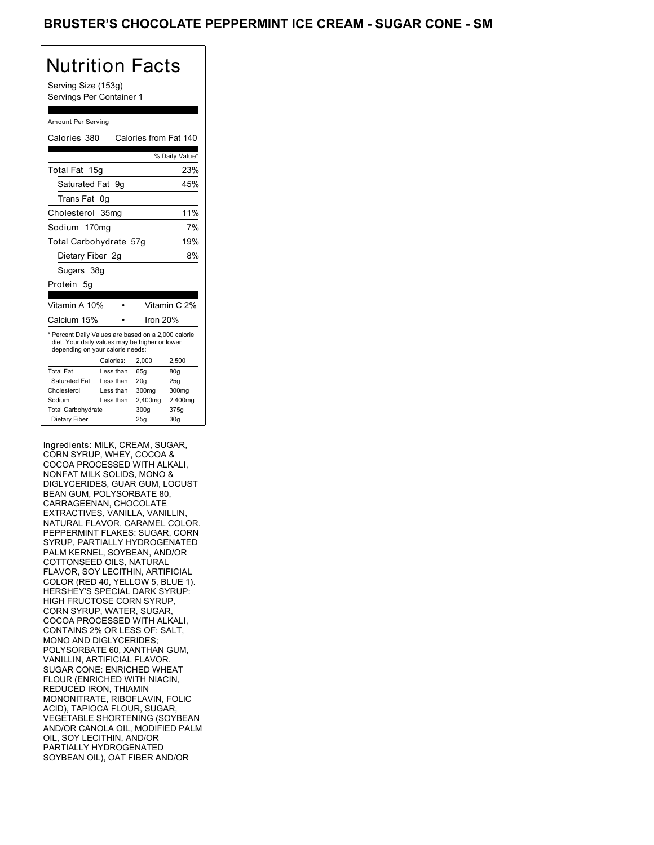Serving Size (153g) Servings Per Container 1

#### Amount Per Serving

| Calories 380                                                                                                                              |                 | Calories from Fat 140 |                 |
|-------------------------------------------------------------------------------------------------------------------------------------------|-----------------|-----------------------|-----------------|
|                                                                                                                                           |                 |                       | % Daily Value*  |
| <b>Total Fat</b>                                                                                                                          | 15 <sub>q</sub> |                       | 23%             |
| Saturated Fat 9q                                                                                                                          |                 |                       | 45%             |
| Trans Fat                                                                                                                                 | 0g              |                       |                 |
| Cholesterol 35mg                                                                                                                          |                 |                       | 11%             |
| Sodium 170mg                                                                                                                              |                 |                       | 7%              |
| Total Carbohydrate 57g                                                                                                                    |                 |                       | 19%             |
| Dietary Fiber 2g                                                                                                                          |                 |                       | 8%              |
| Sugars 38g                                                                                                                                |                 |                       |                 |
| Protein 5g                                                                                                                                |                 |                       |                 |
|                                                                                                                                           |                 |                       |                 |
| Vitamin A 10%                                                                                                                             |                 |                       | Vitamin C 2%    |
| Calcium 15%                                                                                                                               |                 | Iron 20%              |                 |
| * Percent Daily Values are based on a 2,000 calorie<br>diet. Your daily values may be higher or lower<br>depending on your calorie needs: | Calories:       | 2,000                 | 2,500           |
|                                                                                                                                           |                 |                       |                 |
| <b>Total Fat</b>                                                                                                                          | Less than       | 65g                   | 80 <sub>g</sub> |
| Saturated Fat                                                                                                                             | Less than       | 20q                   | 25g             |
| Cholesterol                                                                                                                               | Less than       | 300mg                 | 300mg           |
| Sodium                                                                                                                                    | Less than       | 2,400mg               | 2,400mg         |
| <b>Total Carbohydrate</b>                                                                                                                 |                 | 300g                  | 375g            |
| Dietary Fiber                                                                                                                             |                 | 25g                   | 30 <sub>q</sub> |

Ingredients: MILK, CREAM, SUGAR, CORN SYRUP, WHEY, COCOA & COCOA PROCESSED WITH ALKALI, NONFAT MILK SOLIDS, MONO & DIGLYCERIDES, GUAR GUM, LOCUST BEAN GUM, POLYSORBATE 80, CARRAGEENAN, CHOCOLATE EXTRACTIVES, VANILLA, VANILLIN, NATURAL FLAVOR, CARAMEL COLOR. PEPPERMINT FLAKES: SUGAR, CORN SYRUP, PARTIALLY HYDROGENATED PALM KERNEL, SOYBEAN, AND/OR COTTONSEED OILS, NATURAL FLAVOR, SOY LECITHIN, ARTIFICIAL COLOR (RED 40, YELLOW 5, BLUE 1). HERSHEY'S SPECIAL DARK SYRUP: HIGH FRUCTOSE CORN SYRUP, CORN SYRUP, WATER, SUGAR, COCOA PROCESSED WITH ALKALI, CONTAINS 2% OR LESS OF: SALT, MONO AND DIGLYCERIDES; POLYSORBATE 60, XANTHAN GUM, VANILLIN, ARTIFICIAL FLAVOR. SUGAR CONE: ENRICHED WHEAT FLOUR (ENRICHED WITH NIACIN, REDUCED IRON, THIAMIN MONONITRATE, RIBOFLAVIN, FOLIC ACID), TAPIOCA FLOUR, SUGAR, VEGETABLE SHORTENING (SOYBEAN AND/OR CANOLA OIL, MODIFIED PALM OIL, SOY LECITHIN, AND/OR PARTIALLY HYDROGENATED SOYBEAN OIL), OAT FIBER AND/OR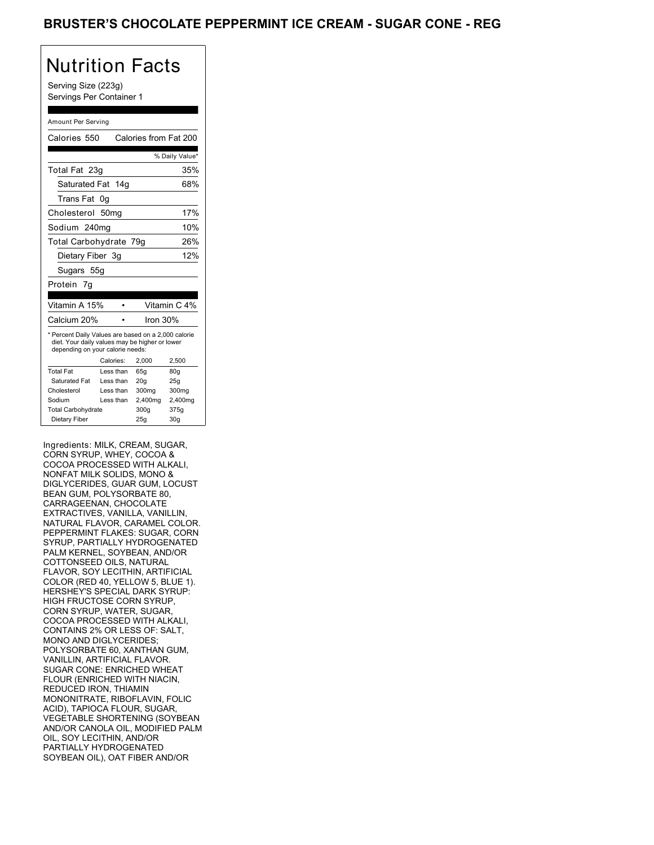Serving Size (223g) Servings Per Container 1

#### Amount Per Serving

| Calories 550                    |                                                                                                             |                                                                                                                                                                                                                                                    |
|---------------------------------|-------------------------------------------------------------------------------------------------------------|----------------------------------------------------------------------------------------------------------------------------------------------------------------------------------------------------------------------------------------------------|
|                                 |                                                                                                             | Calories from Fat 200                                                                                                                                                                                                                              |
|                                 |                                                                                                             | % Daily Value*                                                                                                                                                                                                                                     |
| Total Fat 23g                   |                                                                                                             | 35%                                                                                                                                                                                                                                                |
|                                 |                                                                                                             | 68%                                                                                                                                                                                                                                                |
| 0q                              |                                                                                                             |                                                                                                                                                                                                                                                    |
| Cholesterol<br>50 <sub>mq</sub> |                                                                                                             | 17%                                                                                                                                                                                                                                                |
| Sodium 240mg                    |                                                                                                             | 10%                                                                                                                                                                                                                                                |
|                                 |                                                                                                             | 26%                                                                                                                                                                                                                                                |
| Dietary Fiber 3g                |                                                                                                             | 12%                                                                                                                                                                                                                                                |
| Sugars 55g                      |                                                                                                             |                                                                                                                                                                                                                                                    |
|                                 |                                                                                                             |                                                                                                                                                                                                                                                    |
|                                 |                                                                                                             |                                                                                                                                                                                                                                                    |
|                                 |                                                                                                             | Vitamin C 4%                                                                                                                                                                                                                                       |
| Calcium 20%                     | Iron $30%$                                                                                                  |                                                                                                                                                                                                                                                    |
|                                 |                                                                                                             | 2,500                                                                                                                                                                                                                                              |
|                                 |                                                                                                             | 80q                                                                                                                                                                                                                                                |
|                                 |                                                                                                             | 25q                                                                                                                                                                                                                                                |
|                                 |                                                                                                             | 300mg                                                                                                                                                                                                                                              |
|                                 |                                                                                                             | 2,400mg                                                                                                                                                                                                                                            |
|                                 |                                                                                                             | 375g                                                                                                                                                                                                                                               |
|                                 |                                                                                                             | 30 <sub>q</sub>                                                                                                                                                                                                                                    |
|                                 | Vitamin A 15%<br>Calories:<br>Less than<br>Less than<br>Less than<br>Less than<br><b>Total Carbohydrate</b> | Saturated Fat 14g<br>Total Carbohydrate 79g<br>* Percent Daily Values are based on a 2,000 calorie<br>diet. Your daily values may be higher or lower<br>depending on your calorie needs:<br>2.000<br>65q<br>20q<br>300mg<br>2,400mg<br>300g<br>25q |

Ingredients: MILK, CREAM, SUGAR, CORN SYRUP, WHEY, COCOA & COCOA PROCESSED WITH ALKALI, NONFAT MILK SOLIDS, MONO & DIGLYCERIDES, GUAR GUM, LOCUST BEAN GUM, POLYSORBATE 80, CARRAGEENAN, CHOCOLATE EXTRACTIVES, VANILLA, VANILLIN, NATURAL FLAVOR, CARAMEL COLOR. PEPPERMINT FLAKES: SUGAR, CORN SYRUP, PARTIALLY HYDROGENATED PALM KERNEL, SOYBEAN, AND/OR COTTONSEED OILS, NATURAL FLAVOR, SOY LECITHIN, ARTIFICIAL COLOR (RED 40, YELLOW 5, BLUE 1). HERSHEY'S SPECIAL DARK SYRUP: HIGH FRUCTOSE CORN SYRUP, CORN SYRUP, WATER, SUGAR, COCOA PROCESSED WITH ALKALI, CONTAINS 2% OR LESS OF: SALT, MONO AND DIGLYCERIDES; POLYSORBATE 60, XANTHAN GUM, VANILLIN, ARTIFICIAL FLAVOR. SUGAR CONE: ENRICHED WHEAT FLOUR (ENRICHED WITH NIACIN, REDUCED IRON, THIAMIN MONONITRATE, RIBOFLAVIN, FOLIC ACID), TAPIOCA FLOUR, SUGAR, VEGETABLE SHORTENING (SOYBEAN AND/OR CANOLA OIL, MODIFIED PALM OIL, SOY LECITHIN, AND/OR PARTIALLY HYDROGENATED SOYBEAN OIL), OAT FIBER AND/OR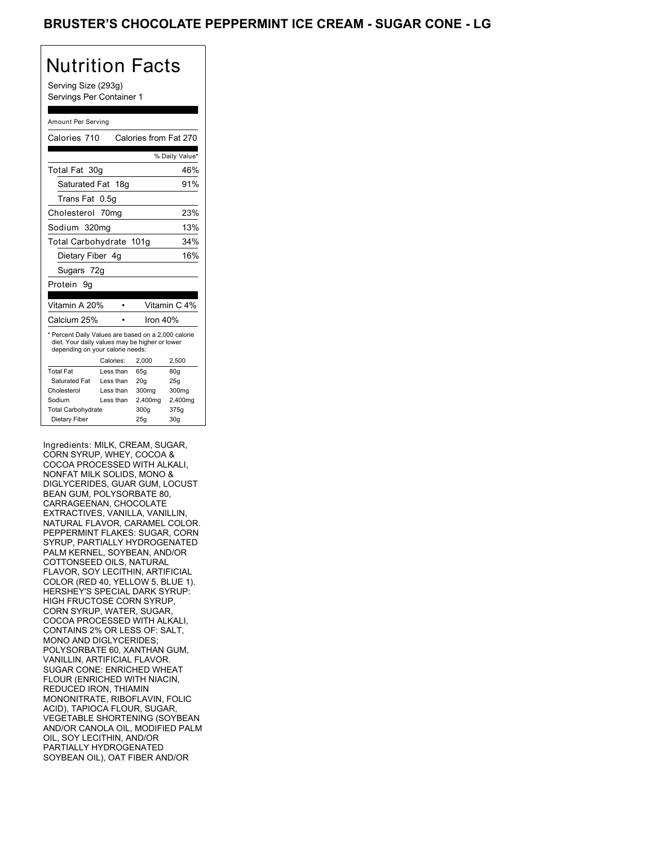Serving Size (293g) Servings Per Container 1

#### Amount Per Serving

| Calories 710                                                                                                                              |           | Calories from Fat 270 |                 |
|-------------------------------------------------------------------------------------------------------------------------------------------|-----------|-----------------------|-----------------|
|                                                                                                                                           |           |                       | % Daily Value*  |
| Total Fat 30g                                                                                                                             |           |                       | 46%             |
| Saturated Fat 18g                                                                                                                         |           |                       | 91%             |
| Trans Fat                                                                                                                                 | 0.5q      |                       |                 |
| Cholesterol 70mg                                                                                                                          |           |                       | 23%             |
| Sodium 320mg                                                                                                                              |           |                       | 13%             |
| Total Carbohydrate 101g                                                                                                                   |           |                       | 34%             |
| Dietary Fiber 4g                                                                                                                          |           |                       | 16%             |
| Sugars 72g                                                                                                                                |           |                       |                 |
| Protein<br>9g                                                                                                                             |           |                       |                 |
|                                                                                                                                           |           |                       |                 |
| Vitamin A 20%                                                                                                                             |           |                       | Vitamin C 4%    |
| Calcium 25%                                                                                                                               |           | Iron $40%$            |                 |
| * Percent Daily Values are based on a 2,000 calorie<br>diet. Your daily values may be higher or lower<br>depending on your calorie needs: | Calories: | 2,000                 | 2,500           |
| <b>Total Fat</b>                                                                                                                          | Less than | 65q                   | 80 <sub>g</sub> |
| Saturated Fat                                                                                                                             | Less than | 20q                   | 25q             |
| Cholesterol                                                                                                                               | Less than | 300mg                 | 300mg           |
| Sodium                                                                                                                                    | Less than | 2,400mg               | 2,400mg         |
| <b>Total Carbohydrate</b>                                                                                                                 |           | 300g                  | 375g            |
| Dietary Fiber                                                                                                                             |           | 25q                   | 30 <sub>q</sub> |

Ingredients: MILK, CREAM, SUGAR, CORN SYRUP, WHEY, COCOA & COCOA PROCESSED WITH ALKALI, NONFAT MILK SOLIDS, MONO & DIGLYCERIDES, GUAR GUM, LOCUST BEAN GUM, POLYSORBATE 80, CARRAGEENAN, CHOCOLATE EXTRACTIVES, VANILLA, VANILLIN, NATURAL FLAVOR, CARAMEL COLOR. PEPPERMINT FLAKES: SUGAR, CORN SYRUP, PARTIALLY HYDROGENATED PALM KERNEL, SOYBEAN, AND/OR COTTONSEED OILS, NATURAL FLAVOR, SOY LECITHIN, ARTIFICIAL COLOR (RED 40, YELLOW 5, BLUE 1). HERSHEY'S SPECIAL DARK SYRUP: HIGH FRUCTOSE CORN SYRUP, CORN SYRUP, WATER, SUGAR, COCOA PROCESSED WITH ALKALI, CONTAINS 2% OR LESS OF: SALT, MONO AND DIGLYCERIDES; POLYSORBATE 60, XANTHAN GUM, VANILLIN, ARTIFICIAL FLAVOR. SUGAR CONE: ENRICHED WHEAT FLOUR (ENRICHED WITH NIACIN, REDUCED IRON, THIAMIN MONONITRATE, RIBOFLAVIN, FOLIC ACID), TAPIOCA FLOUR, SUGAR, VEGETABLE SHORTENING (SOYBEAN AND/OR CANOLA OIL, MODIFIED PALM OIL, SOY LECITHIN, AND/OR PARTIALLY HYDROGENATED SOYBEAN OIL), OAT FIBER AND/OR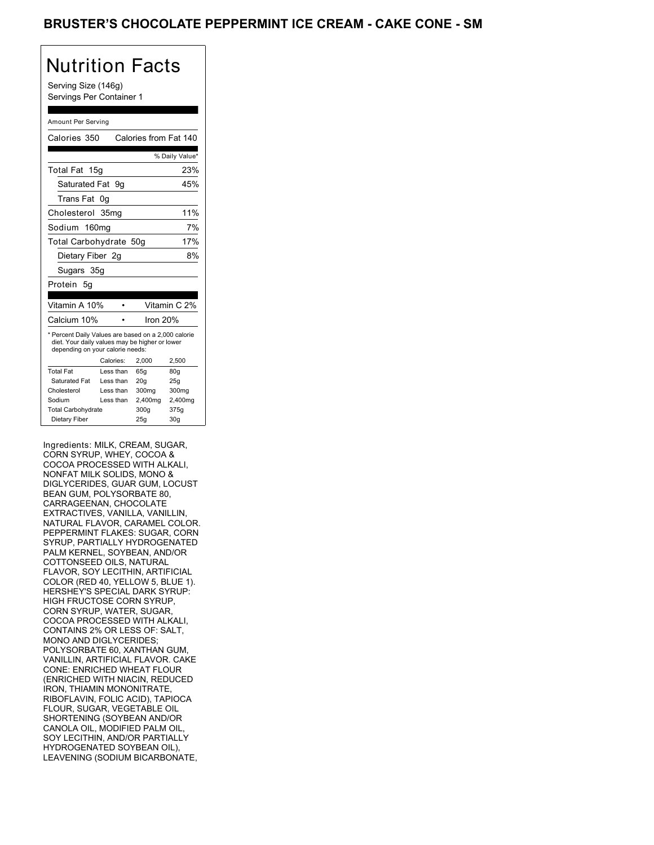Serving Size (146g) Servings Per Container 1

#### Amount Per Serving

| Calories 350                                                                                                                              |                   | Calories from Fat 140 |                 |
|-------------------------------------------------------------------------------------------------------------------------------------------|-------------------|-----------------------|-----------------|
|                                                                                                                                           |                   |                       | % Daily Value*  |
| Total Fat                                                                                                                                 | 15 <sub>q</sub>   |                       | 23%             |
| Saturated Fat                                                                                                                             | 9g                |                       | 45%             |
| Trans Fat                                                                                                                                 | 0g                |                       |                 |
| Cholesterol 35mg                                                                                                                          |                   |                       | 11%             |
| Sodium                                                                                                                                    | 160 <sub>mg</sub> |                       | 7%              |
| Total Carbohydrate 50g                                                                                                                    |                   |                       | 17%             |
| Dietary Fiber 2g                                                                                                                          |                   |                       | 8%              |
| Sugars 35g                                                                                                                                |                   |                       |                 |
| Protein 5g                                                                                                                                |                   |                       |                 |
|                                                                                                                                           |                   |                       |                 |
| Vitamin A 10%                                                                                                                             |                   |                       | Vitamin C 2%    |
| Calcium 10%                                                                                                                               |                   | Iron 20%              |                 |
| * Percent Daily Values are based on a 2,000 calorie<br>diet. Your daily values may be higher or lower<br>depending on your calorie needs: |                   |                       |                 |
|                                                                                                                                           | Calories:         | 2,000                 | 2,500           |
| <b>Total Fat</b>                                                                                                                          | Less than         | 65g                   | 80 <sub>g</sub> |
| Saturated Fat                                                                                                                             | Less than         | 20q                   | 25g             |
| Cholesterol                                                                                                                               | Less than         | 300mg                 | 300mg           |
| Sodium                                                                                                                                    | Less than         | 2,400mg               | 2,400mg         |
| <b>Total Carbohydrate</b>                                                                                                                 |                   | 300g                  | 375g            |
| Dietary Fiber                                                                                                                             |                   | 25g                   | 30 <sub>q</sub> |

Ingredients: MILK, CREAM, SUGAR, CORN SYRUP, WHEY, COCOA & COCOA PROCESSED WITH ALKALI, NONFAT MILK SOLIDS, MONO & DIGLYCERIDES, GUAR GUM, LOCUST BEAN GUM, POLYSORBATE 80, CARRAGEENAN, CHOCOLATE EXTRACTIVES, VANILLA, VANILLIN, NATURAL FLAVOR, CARAMEL COLOR. PEPPERMINT FLAKES: SUGAR, CORN SYRUP, PARTIALLY HYDROGENATED PALM KERNEL, SOYBEAN, AND/OR COTTONSEED OILS, NATURAL FLAVOR, SOY LECITHIN, ARTIFICIAL COLOR (RED 40, YELLOW 5, BLUE 1). HERSHEY'S SPECIAL DARK SYRUP: HIGH FRUCTOSE CORN SYRUP, CORN SYRUP, WATER, SUGAR, COCOA PROCESSED WITH ALKALI, CONTAINS 2% OR LESS OF: SALT, MONO AND DIGLYCERIDES; POLYSORBATE 60, XANTHAN GUM, VANILLIN, ARTIFICIAL FLAVOR. CAKE CONE: ENRICHED WHEAT FLOUR (ENRICHED WITH NIACIN, REDUCED IRON, THIAMIN MONONITRATE, RIBOFLAVIN, FOLIC ACID), TAPIOCA FLOUR, SUGAR, VEGETABLE OIL SHORTENING (SOYBEAN AND/OR CANOLA OIL, MODIFIED PALM OIL, SOY LECITHIN, AND/OR PARTIALLY HYDROGENATED SOYBEAN OIL), LEAVENING (SODIUM BICARBONATE,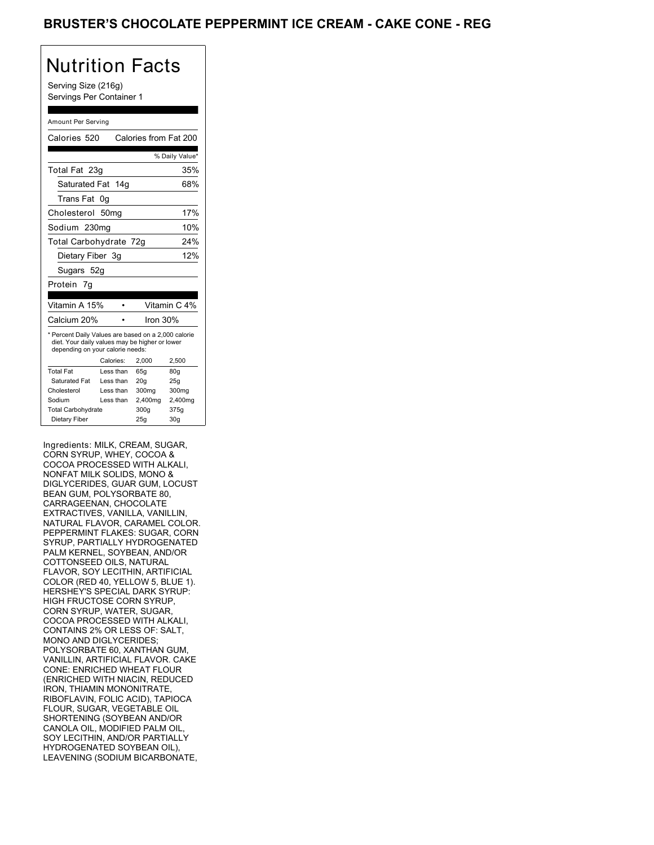Serving Size (216g) Servings Per Container 1

#### Amount Per Serving

| Calories 520     |                                                                                            |                                                                                                                                                                                                                                                                      |
|------------------|--------------------------------------------------------------------------------------------|----------------------------------------------------------------------------------------------------------------------------------------------------------------------------------------------------------------------------------------------------------------------|
|                  |                                                                                            | % Daily Value*                                                                                                                                                                                                                                                       |
| Total Fat 23g    |                                                                                            | 35%                                                                                                                                                                                                                                                                  |
|                  |                                                                                            | 68%                                                                                                                                                                                                                                                                  |
| 0g               |                                                                                            |                                                                                                                                                                                                                                                                      |
| 50 <sub>ma</sub> |                                                                                            | 17%                                                                                                                                                                                                                                                                  |
| Sodium 230mg     |                                                                                            | 10%                                                                                                                                                                                                                                                                  |
|                  |                                                                                            | 24%                                                                                                                                                                                                                                                                  |
| Dietary Fiber 3g |                                                                                            | 12%                                                                                                                                                                                                                                                                  |
| Sugars 52g       |                                                                                            |                                                                                                                                                                                                                                                                      |
|                  |                                                                                            |                                                                                                                                                                                                                                                                      |
|                  |                                                                                            |                                                                                                                                                                                                                                                                      |
| Vitamin A 15%    |                                                                                            | Vitamin C 4%                                                                                                                                                                                                                                                         |
| Calcium 20%      | Iron $30%$                                                                                 |                                                                                                                                                                                                                                                                      |
|                  |                                                                                            | 2,500                                                                                                                                                                                                                                                                |
|                  |                                                                                            |                                                                                                                                                                                                                                                                      |
|                  |                                                                                            | 80q                                                                                                                                                                                                                                                                  |
|                  |                                                                                            | 25g<br>300mg                                                                                                                                                                                                                                                         |
|                  |                                                                                            | 2,400mg                                                                                                                                                                                                                                                              |
|                  |                                                                                            | 375g                                                                                                                                                                                                                                                                 |
|                  |                                                                                            |                                                                                                                                                                                                                                                                      |
|                  | Calories:<br>Less than<br>Less than<br>Less than<br>Less than<br><b>Total Carbohydrate</b> | Calories from Fat 200<br>Saturated Fat 14g<br>Total Carbohydrate 72g<br>* Percent Daily Values are based on a 2,000 calorie<br>diet. Your daily values may be higher or lower<br>depending on your calorie needs:<br>2,000<br>65q<br>20q<br>300mg<br>2,400mg<br>300g |

Ingredients: MILK, CREAM, SUGAR, CORN SYRUP, WHEY, COCOA & COCOA PROCESSED WITH ALKALI, NONFAT MILK SOLIDS, MONO & DIGLYCERIDES, GUAR GUM, LOCUST BEAN GUM, POLYSORBATE 80, CARRAGEENAN, CHOCOLATE EXTRACTIVES, VANILLA, VANILLIN, NATURAL FLAVOR, CARAMEL COLOR. PEPPERMINT FLAKES: SUGAR, CORN SYRUP, PARTIALLY HYDROGENATED PALM KERNEL, SOYBEAN, AND/OR COTTONSEED OILS, NATURAL FLAVOR, SOY LECITHIN, ARTIFICIAL COLOR (RED 40, YELLOW 5, BLUE 1). HERSHEY'S SPECIAL DARK SYRUP: HIGH FRUCTOSE CORN SYRUP, CORN SYRUP, WATER, SUGAR, COCOA PROCESSED WITH ALKALI, CONTAINS 2% OR LESS OF: SALT, MONO AND DIGLYCERIDES; POLYSORBATE 60, XANTHAN GUM, VANILLIN, ARTIFICIAL FLAVOR. CAKE CONE: ENRICHED WHEAT FLOUR (ENRICHED WITH NIACIN, REDUCED IRON, THIAMIN MONONITRATE, RIBOFLAVIN, FOLIC ACID), TAPIOCA FLOUR, SUGAR, VEGETABLE OIL SHORTENING (SOYBEAN AND/OR CANOLA OIL, MODIFIED PALM OIL, SOY LECITHIN, AND/OR PARTIALLY HYDROGENATED SOYBEAN OIL), LEAVENING (SODIUM BICARBONATE,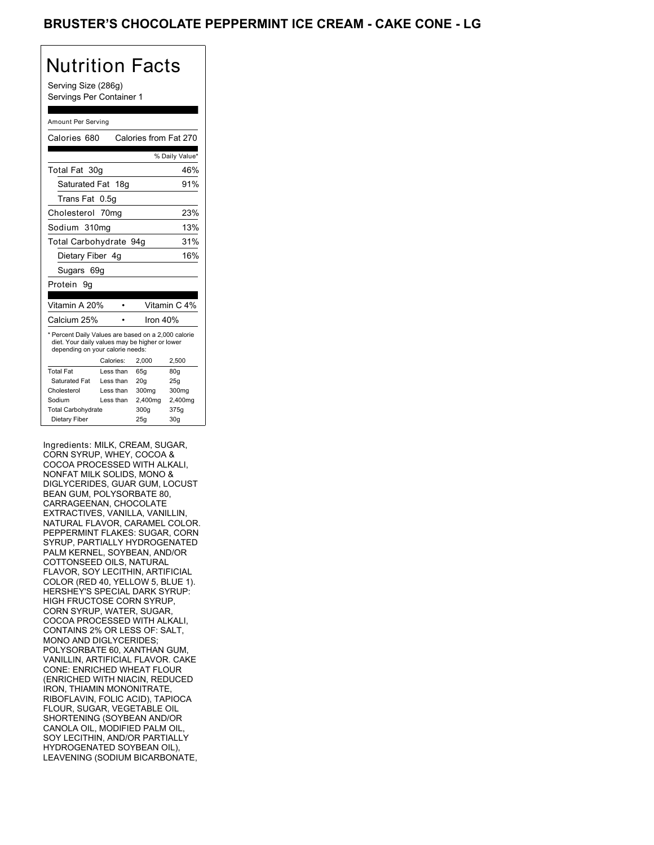Serving Size (286g) Servings Per Container 1

#### Amount Per Serving

| Calories 680                                                                                                                              |           | Calories from Fat 270 |                 |
|-------------------------------------------------------------------------------------------------------------------------------------------|-----------|-----------------------|-----------------|
|                                                                                                                                           |           |                       | % Daily Value*  |
| Total Fat 30g                                                                                                                             |           |                       | 46%             |
| Saturated Fat 18g                                                                                                                         |           |                       | 91%             |
| Trans Fat                                                                                                                                 | 0.5g      |                       |                 |
| Cholesterol 70mg                                                                                                                          |           |                       | 23%             |
| Sodium 310mg                                                                                                                              |           |                       | 13%             |
| Total Carbohydrate 94g                                                                                                                    |           |                       | 31%             |
| Dietary Fiber 4g                                                                                                                          |           |                       | 16%             |
| Sugars 69g                                                                                                                                |           |                       |                 |
| Protein<br>9g                                                                                                                             |           |                       |                 |
|                                                                                                                                           |           |                       |                 |
| Vitamin A 20%                                                                                                                             |           |                       | Vitamin C 4%    |
| Calcium 25%                                                                                                                               |           | Iron $40%$            |                 |
| * Percent Daily Values are based on a 2,000 calorie<br>diet. Your daily values may be higher or lower<br>depending on your calorie needs: | Calories: | 2,000                 | 2,500           |
| <b>Total Fat</b>                                                                                                                          | Less than | 65q                   | 80q             |
| Saturated Fat                                                                                                                             | Less than | 20q                   | 25g             |
| Cholesterol                                                                                                                               | Less than | 300mg                 | 300mg           |
| Sodium                                                                                                                                    | Less than | 2,400mg               | 2,400mg         |
| <b>Total Carbohydrate</b>                                                                                                                 |           | 300g                  | 375g            |
| Dietary Fiber                                                                                                                             |           | 25g                   | 30 <sub>g</sub> |

Ingredients: MILK, CREAM, SUGAR, CORN SYRUP, WHEY, COCOA & COCOA PROCESSED WITH ALKALI, NONFAT MILK SOLIDS, MONO & DIGLYCERIDES, GUAR GUM, LOCUST BEAN GUM, POLYSORBATE 80, CARRAGEENAN, CHOCOLATE EXTRACTIVES, VANILLA, VANILLIN, NATURAL FLAVOR, CARAMEL COLOR. PEPPERMINT FLAKES: SUGAR, CORN SYRUP, PARTIALLY HYDROGENATED PALM KERNEL, SOYBEAN, AND/OR COTTONSEED OILS, NATURAL FLAVOR, SOY LECITHIN, ARTIFICIAL COLOR (RED 40, YELLOW 5, BLUE 1). HERSHEY'S SPECIAL DARK SYRUP: HIGH FRUCTOSE CORN SYRUP, CORN SYRUP, WATER, SUGAR, COCOA PROCESSED WITH ALKALI, CONTAINS 2% OR LESS OF: SALT, MONO AND DIGLYCERIDES; POLYSORBATE 60, XANTHAN GUM, VANILLIN, ARTIFICIAL FLAVOR. CAKE CONE: ENRICHED WHEAT FLOUR (ENRICHED WITH NIACIN, REDUCED IRON, THIAMIN MONONITRATE, RIBOFLAVIN, FOLIC ACID), TAPIOCA FLOUR, SUGAR, VEGETABLE OIL SHORTENING (SOYBEAN AND/OR CANOLA OIL, MODIFIED PALM OIL, SOY LECITHIN, AND/OR PARTIALLY HYDROGENATED SOYBEAN OIL), LEAVENING (SODIUM BICARBONATE,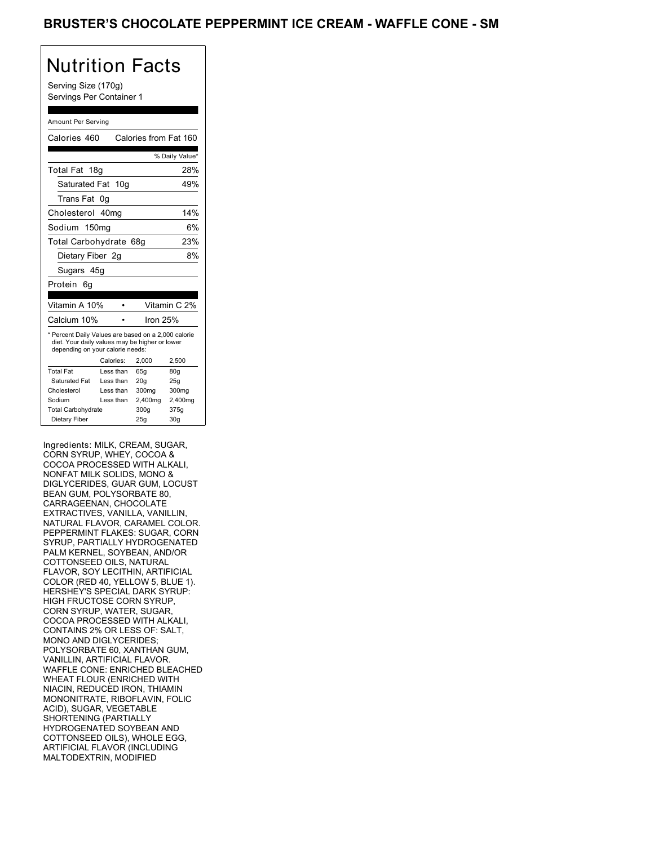Serving Size (170g) Servings Per Container 1

#### Amount Per Serving

| Calories 460                                                                                                                              |                   | Calories from Fat 160 |                |
|-------------------------------------------------------------------------------------------------------------------------------------------|-------------------|-----------------------|----------------|
|                                                                                                                                           |                   |                       | % Daily Value* |
| Total Fat<br>18 <sub>g</sub>                                                                                                              |                   |                       | 28%            |
| Saturated Fat 10g                                                                                                                         |                   |                       | 49%            |
| Trans Fat                                                                                                                                 | 0g                |                       |                |
| Cholesterol 40mg                                                                                                                          |                   |                       | 14%            |
| Sodium                                                                                                                                    | 150 <sub>mg</sub> |                       | 6%             |
| Total Carbohydrate 68g                                                                                                                    |                   |                       | 23%            |
| Dietary Fiber 2g                                                                                                                          |                   |                       | 8%             |
| Sugars 45g                                                                                                                                |                   |                       |                |
| Protein<br>6g                                                                                                                             |                   |                       |                |
|                                                                                                                                           |                   |                       |                |
| Vitamin A 10%                                                                                                                             |                   |                       | Vitamin C 2%   |
| Calcium 10%                                                                                                                               |                   | Iron 25%              |                |
| * Percent Daily Values are based on a 2,000 calorie<br>diet. Your daily values may be higher or lower<br>depending on your calorie needs: |                   |                       |                |
|                                                                                                                                           | Calories:         | 2,000                 | 2,500          |
| <b>Total Fat</b>                                                                                                                          | Less than         | 65q                   | 80q            |
| Saturated Fat                                                                                                                             | Less than         | 20q                   | 25g            |
| Cholesterol                                                                                                                               | Less than         | 300mg                 | 300mg          |
| Sodium                                                                                                                                    | Less than         | 2,400mg               | 2,400mg        |
| <b>Total Carbohydrate</b>                                                                                                                 |                   | 300g                  | 375g           |
|                                                                                                                                           |                   |                       |                |

Ingredients: MILK, CREAM, SUGAR, CORN SYRUP, WHEY, COCOA & COCOA PROCESSED WITH ALKALI, NONFAT MILK SOLIDS, MONO & DIGLYCERIDES, GUAR GUM, LOCUST BEAN GUM, POLYSORBATE 80, CARRAGEENAN, CHOCOLATE EXTRACTIVES, VANILLA, VANILLIN, NATURAL FLAVOR, CARAMEL COLOR. PEPPERMINT FLAKES: SUGAR, CORN SYRUP, PARTIALLY HYDROGENATED PALM KERNEL, SOYBEAN, AND/OR COTTONSEED OILS, NATURAL FLAVOR, SOY LECITHIN, ARTIFICIAL COLOR (RED 40, YELLOW 5, BLUE 1). HERSHEY'S SPECIAL DARK SYRUP: HIGH FRUCTOSE CORN SYRUP, CORN SYRUP, WATER, SUGAR, COCOA PROCESSED WITH ALKALI, CONTAINS 2% OR LESS OF: SALT, MONO AND DIGLYCERIDES; POLYSORBATE 60, XANTHAN GUM, VANILLIN, ARTIFICIAL FLAVOR. WAFFLE CONE: ENRICHED BLEACHED WHEAT FLOUR (ENRICHED WITH NIACIN, REDUCED IRON, THIAMIN MONONITRATE, RIBOFLAVIN, FOLIC ACID), SUGAR, VEGETABLE SHORTENING (PARTIALLY HYDROGENATED SOYBEAN AND COTTONSEED OILS), WHOLE EGG, ARTIFICIAL FLAVOR (INCLUDING MALTODEXTRIN, MODIFIED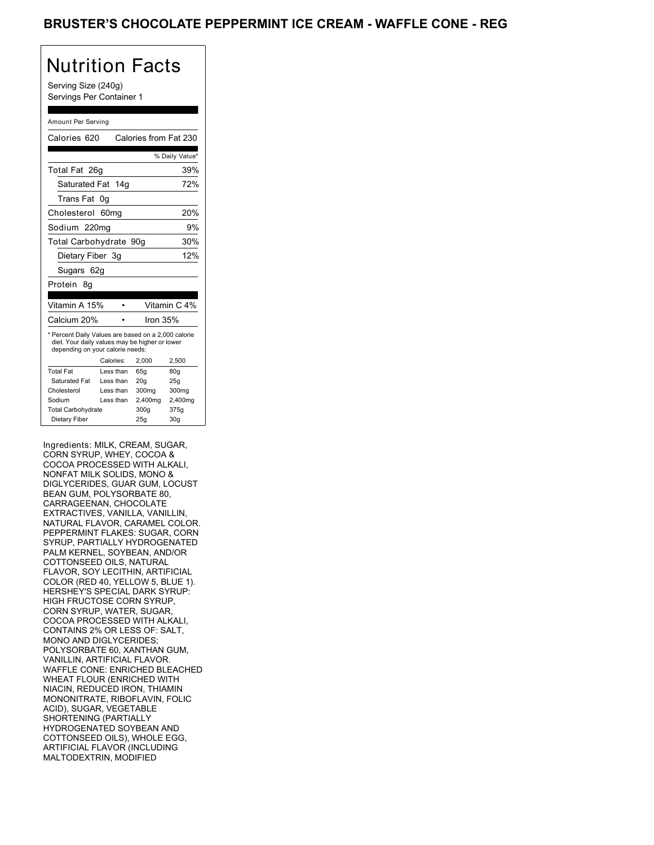Serving Size (240g) Servings Per Container 1

#### Amount Per Serving

| Calories 620                                                                                                                              |           | Calories from Fat 230 |                 |
|-------------------------------------------------------------------------------------------------------------------------------------------|-----------|-----------------------|-----------------|
|                                                                                                                                           |           |                       | % Daily Value*  |
| Total Fat 26q                                                                                                                             |           |                       | 39%             |
| Saturated Fat 14g                                                                                                                         |           |                       | 72%             |
| Trans Fat                                                                                                                                 | 0g        |                       |                 |
| Cholesterol 60mg                                                                                                                          |           |                       | 20%             |
| Sodium 220ma                                                                                                                              |           |                       | 9%              |
| Total Carbohydrate 90g                                                                                                                    |           |                       | 30%             |
| Dietary Fiber 3g                                                                                                                          |           |                       | 12%             |
| Sugars 62g                                                                                                                                |           |                       |                 |
| Protein<br>8g                                                                                                                             |           |                       |                 |
| Vitamin A 15%                                                                                                                             |           |                       | Vitamin C 4%    |
| Calcium 20%                                                                                                                               |           | Iron $35%$            |                 |
| * Percent Daily Values are based on a 2,000 calorie<br>diet. Your daily values may be higher or lower<br>depending on your calorie needs: |           |                       |                 |
|                                                                                                                                           | Calories: | 2.000                 | 2,500           |
| <b>Total Fat</b>                                                                                                                          | Less than | 65q                   | 80q             |
| Saturated Fat                                                                                                                             | Less than | 20 <sub>g</sub>       | 25g             |
| Cholesterol                                                                                                                               | Less than | 300mg                 | 300mg           |
| Sodium                                                                                                                                    | Less than | 2,400mg               | 2,400mg         |
| <b>Total Carbohydrate</b>                                                                                                                 |           | 300g                  | 375g            |
| Dietary Fiber                                                                                                                             |           | 25q                   | 30 <sub>q</sub> |

Ingredients: MILK, CREAM, SUGAR, CORN SYRUP, WHEY, COCOA & COCOA PROCESSED WITH ALKALI, NONFAT MILK SOLIDS, MONO & DIGLYCERIDES, GUAR GUM, LOCUST BEAN GUM, POLYSORBATE 80, CARRAGEENAN, CHOCOLATE EXTRACTIVES, VANILLA, VANILLIN, NATURAL FLAVOR, CARAMEL COLOR. PEPPERMINT FLAKES: SUGAR, CORN SYRUP, PARTIALLY HYDROGENATED PALM KERNEL, SOYBEAN, AND/OR COTTONSEED OILS, NATURAL FLAVOR, SOY LECITHIN, ARTIFICIAL COLOR (RED 40, YELLOW 5, BLUE 1). HERSHEY'S SPECIAL DARK SYRUP: HIGH FRUCTOSE CORN SYRUP, CORN SYRUP, WATER, SUGAR, COCOA PROCESSED WITH ALKALI, CONTAINS 2% OR LESS OF: SALT, MONO AND DIGLYCERIDES; POLYSORBATE 60, XANTHAN GUM, VANILLIN, ARTIFICIAL FLAVOR. WAFFLE CONE: ENRICHED BLEACHED WHEAT FLOUR (ENRICHED WITH NIACIN, REDUCED IRON, THIAMIN MONONITRATE, RIBOFLAVIN, FOLIC ACID), SUGAR, VEGETABLE SHORTENING (PARTIALLY HYDROGENATED SOYBEAN AND COTTONSEED OILS), WHOLE EGG, ARTIFICIAL FLAVOR (INCLUDING MALTODEXTRIN, MODIFIED